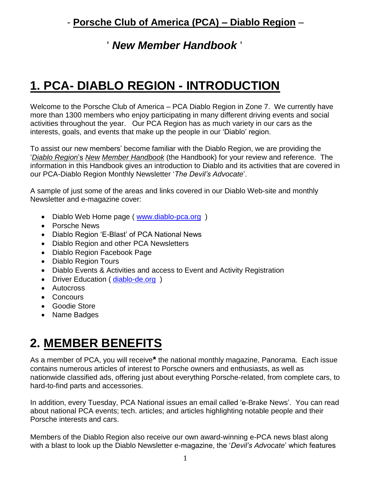#### ' *New Member Handbook* '

# **1. PCA- DIABLO REGION - INTRODUCTION**

Welcome to the Porsche Club of America – PCA Diablo Region in Zone 7. We currently have more than 1300 members who enjoy participating in many different driving events and social activities throughout the year. Our PCA Region has as much variety in our cars as the interests, goals, and events that make up the people in our 'Diablo' region.

To assist our new members' become familiar with the Diablo Region, we are providing the '*Diablo Region*'s *New Member Handbook* (the Handbook) for your review and reference. The information in this Handbook gives an introduction to Diablo and its activities that are covered in our PCA-Diablo Region Monthly Newsletter '*The Devil's Advocate*'.

A sample of just some of the areas and links covered in our Diablo Web-site and monthly Newsletter and e-magazine cover:

- Diablo Web Home page ( [www.diablo-pca.org](http://www.diablo-pca.org/) )
- Porsche News
- Diablo Region 'E-Blast' of PCA National News
- Diablo Region and other PCA Newsletters
- Diablo Region Facebook Page
- Diablo Region Tours
- Diablo Events & Activities and access to Event and Activity Registration
- Driver Education (diablo-de.org)
- Autocross
- Concours
- Goodie Store
- Name Badges

# **2. MEMBER BENEFITS**

As a member of PCA, you will receive**\*** the national monthly magazine, Panorama. Each issue contains numerous articles of interest to Porsche owners and enthusiasts, as well as nationwide classified ads, offering just about everything Porsche-related, from complete cars, to hard-to-find parts and accessories.

In addition, every Tuesday, PCA National issues an email called 'e-Brake News'. You can read about national PCA events; tech. articles; and articles highlighting notable people and their Porsche interests and cars.

Members of the Diablo Region also receive our own award-winning e-PCA news blast along with a blast to look up the Diablo Newsletter e-magazine, the '*Devil's Advocate*' which features